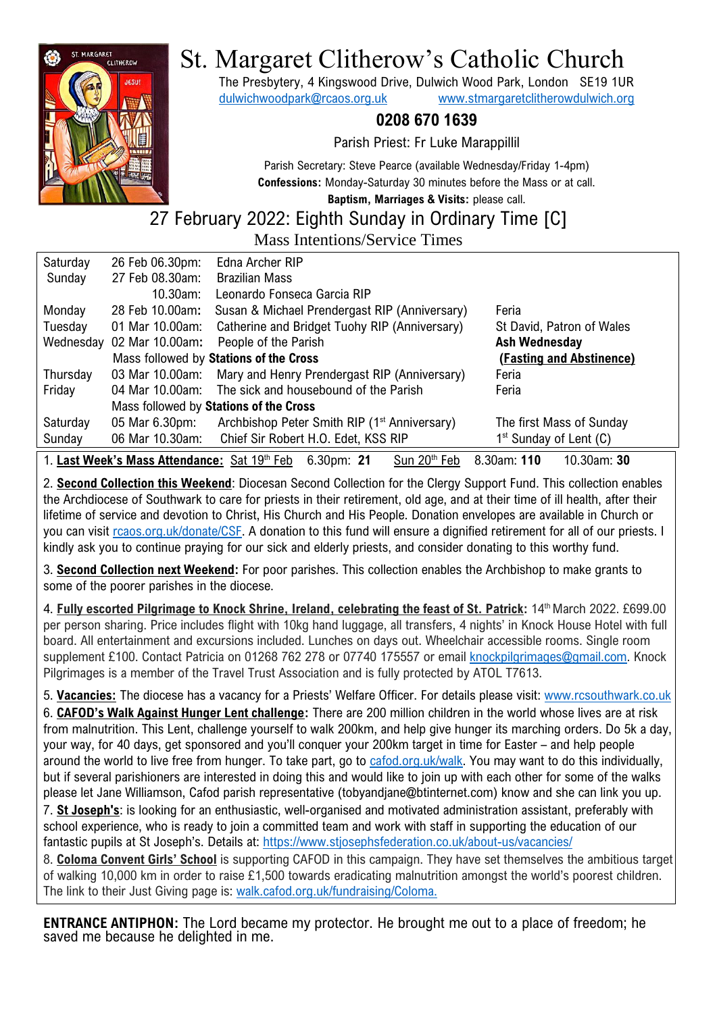

# St. Margaret Clitherow's Catholic Church

The Presbytery, 4 Kingswood Drive, Dulwich Wood Park, London SE19 1UR [dulwichwoodpark@rcaos.org.uk](mailto:dulwichwoodpark@rcaos.org.uk) [www.stmargaretclitherowdulwich.org](http://www.stmargaretclitherowdulwich.org/)

### **0208 670 1639**

Parish Priest: Fr Luke Marappillil

Parish Secretary: Steve Pearce (available Wednesday/Friday 1-4pm) **Confessions:** Monday-Saturday 30 minutes before the Mass or at call.

**Baptism, Marriages & Visits:** please call.

# 27 February 2022: Eighth Sunday in Ordinary Time [C]

Mass Intentions/Service Times

| Saturday                                                                                                             | 26 Feb 06.30pm:                        | Edna Archer RIP                                          |                           |
|----------------------------------------------------------------------------------------------------------------------|----------------------------------------|----------------------------------------------------------|---------------------------|
| Sunday                                                                                                               | 27 Feb 08.30am:                        | <b>Brazilian Mass</b>                                    |                           |
|                                                                                                                      | 10.30am:                               | Leonardo Fonseca Garcia RIP                              |                           |
| Monday                                                                                                               | 28 Feb 10.00am:                        | Susan & Michael Prendergast RIP (Anniversary)            | Feria                     |
| Tuesday                                                                                                              | 01 Mar 10.00am:                        | Catherine and Bridget Tuohy RIP (Anniversary)            | St David, Patron of Wales |
| Wednesday                                                                                                            | 02 Mar 10.00am:                        | People of the Parish                                     | <b>Ash Wednesday</b>      |
|                                                                                                                      |                                        | Mass followed by Stations of the Cross                   | (Fasting and Abstinence)  |
| Thursday                                                                                                             | 03 Mar 10.00am:                        | Mary and Henry Prendergast RIP (Anniversary)             | Feria                     |
| Friday                                                                                                               | 04 Mar 10.00am:                        | The sick and housebound of the Parish                    | Feria                     |
|                                                                                                                      | Mass followed by Stations of the Cross |                                                          |                           |
| Saturday                                                                                                             | 05 Mar 6.30pm:                         | Archbishop Peter Smith RIP (1 <sup>st</sup> Anniversary) | The first Mass of Sunday  |
| Sunday                                                                                                               | 06 Mar 10.30am:                        | Chief Sir Robert H.O. Edet, KSS RIP                      | $1st$ Sunday of Lent (C)  |
| 1. Last Week's Mass Attendance: Sat 19th Feb<br>Sun 20 <sup>th</sup> Feb<br>8.30am: 110<br>10.30am: 30<br>6.30pm: 21 |                                        |                                                          |                           |

2. **Second Collection this Weekend**: Diocesan Second Collection for the Clergy Support Fund. This collection enables the Archdiocese of Southwark to care for priests in their retirement, old age, and at their time of ill health, after their lifetime of service and devotion to Christ, His Church and His People. Donation envelopes are available in Church or you can visit [rcaos.org.uk/donate/CSF.](https://www.rcaos.org.uk/donate/CSF) A donation to this fund will ensure a dignified retirement for all of our priests. I kindly ask you to continue praying for our sick and elderly priests, and consider donating to this worthy fund.

3. **Second Collection next Weekend:** For poor parishes. This collection enables the Archbishop to make grants to some of the poorer parishes in the diocese.

4. **Fully escorted Pilgrimage to Knock Shrine, Ireland, celebrating the feast of St. Patrick:** 14th March 2022. £699.00 per person sharing. Price includes flight with 10kg hand luggage, all transfers, 4 nights' in Knock House Hotel with full board. All entertainment and excursions included. Lunches on days out. Wheelchair accessible rooms. Single room supplement £100. Contact Patricia on 01268 762 278 or 07740 175557 or email [knockpilgrimages@gmail.com.](mailto:knockpilgrimages@gmail.com) Knock Pilgrimages is a member of the Travel Trust Association and is fully protected by ATOL T7613.

5. **Vacancies:** The diocese has a vacancy for a Priests' Welfare Officer. For details please visit: [www.rcsouthwark.co.uk](https://www.rcsouthwark.co.uk/news-events/news/vacancy-priests-welfare-officer/) 6. **CAFOD's Walk Against Hunger Lent challenge:** There are 200 million children in the world whose lives are at risk from malnutrition. This Lent, challenge yourself to walk 200km, and help give hunger its marching orders. Do 5k a day, your way, for 40 days, get sponsored and you'll conquer your 200km target in time for Easter – and help people around the world to live free from hunger. To take part, go to [cafod.org.uk/walk.](https://walk.cafod.org.uk/) You may want to do this individually, but if several parishioners are interested in doing this and would like to join up with each other for some of the walks please let Jane Williamson, Cafod parish representative (tobyandjane@btinternet.com) know and she can link you up. 7. **St Joseph's**: is looking for an enthusiastic, well-organised and motivated administration assistant, preferably with school experience, who is ready to join a committed team and work with staff in supporting the education of our fantastic pupils at St Joseph's. Details at: <https://www.stjosephsfederation.co.uk/about-us/vacancies/>

8. **Coloma Convent Girls' School** is supporting CAFOD in this campaign. They have set themselves the ambitious target of walking 10,000 km in order to raise £1,500 towards eradicating malnutrition amongst the world's poorest children. The link to their Just Giving page is: [walk.cafod.org.uk/fundraising/Coloma.](https://walk.cafod.org.uk/fundraising/Coloma)

**ENTRANCE ANTIPHON:** The Lord became my protector. He brought me out to a place of freedom; he saved me because he delighted in me.